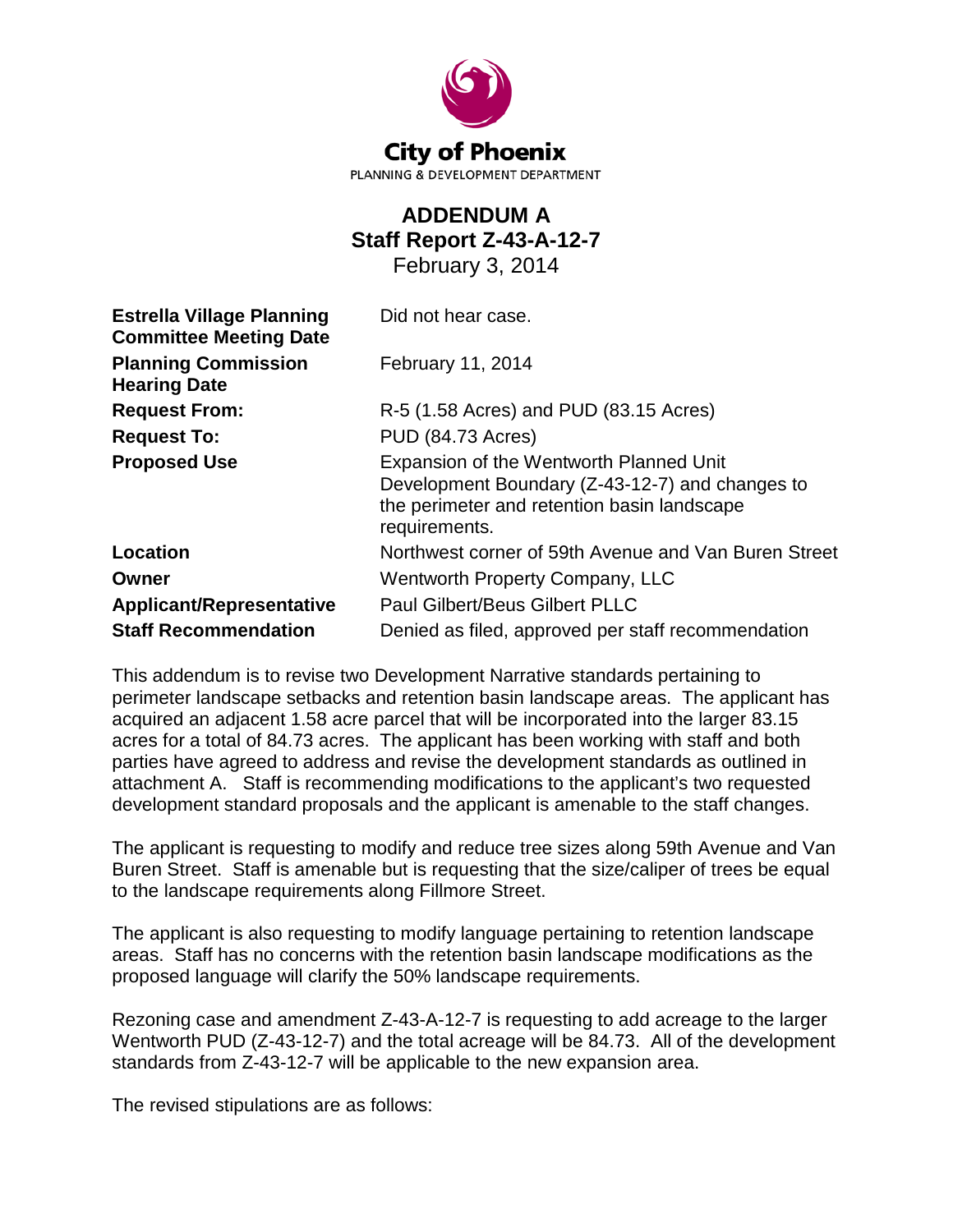

# **ADDENDUM A Staff Report Z-43-A-12-7**

February 3, 2014

| <b>Estrella Village Planning</b><br><b>Committee Meeting Date</b> | Did not hear case.                                                                                                                                         |
|-------------------------------------------------------------------|------------------------------------------------------------------------------------------------------------------------------------------------------------|
| <b>Planning Commission</b><br><b>Hearing Date</b>                 | February 11, 2014                                                                                                                                          |
| <b>Request From:</b>                                              | R-5 (1.58 Acres) and PUD (83.15 Acres)                                                                                                                     |
| <b>Request To:</b>                                                | <b>PUD (84.73 Acres)</b>                                                                                                                                   |
| <b>Proposed Use</b>                                               | Expansion of the Wentworth Planned Unit<br>Development Boundary (Z-43-12-7) and changes to<br>the perimeter and retention basin landscape<br>requirements. |
| Location                                                          | Northwest corner of 59th Avenue and Van Buren Street                                                                                                       |
| Owner                                                             | <b>Wentworth Property Company, LLC</b>                                                                                                                     |
| <b>Applicant/Representative</b>                                   | <b>Paul Gilbert/Beus Gilbert PLLC</b>                                                                                                                      |
| <b>Staff Recommendation</b>                                       | Denied as filed, approved per staff recommendation                                                                                                         |

This addendum is to revise two Development Narrative standards pertaining to perimeter landscape setbacks and retention basin landscape areas. The applicant has acquired an adjacent 1.58 acre parcel that will be incorporated into the larger 83.15 acres for a total of 84.73 acres. The applicant has been working with staff and both parties have agreed to address and revise the development standards as outlined in attachment A. Staff is recommending modifications to the applicant's two requested development standard proposals and the applicant is amenable to the staff changes.

The applicant is requesting to modify and reduce tree sizes along 59th Avenue and Van Buren Street. Staff is amenable but is requesting that the size/caliper of trees be equal to the landscape requirements along Fillmore Street.

The applicant is also requesting to modify language pertaining to retention landscape areas. Staff has no concerns with the retention basin landscape modifications as the proposed language will clarify the 50% landscape requirements.

Rezoning case and amendment Z-43-A-12-7 is requesting to add acreage to the larger Wentworth PUD (Z-43-12-7) and the total acreage will be 84.73. All of the development standards from Z-43-12-7 will be applicable to the new expansion area.

The revised stipulations are as follows: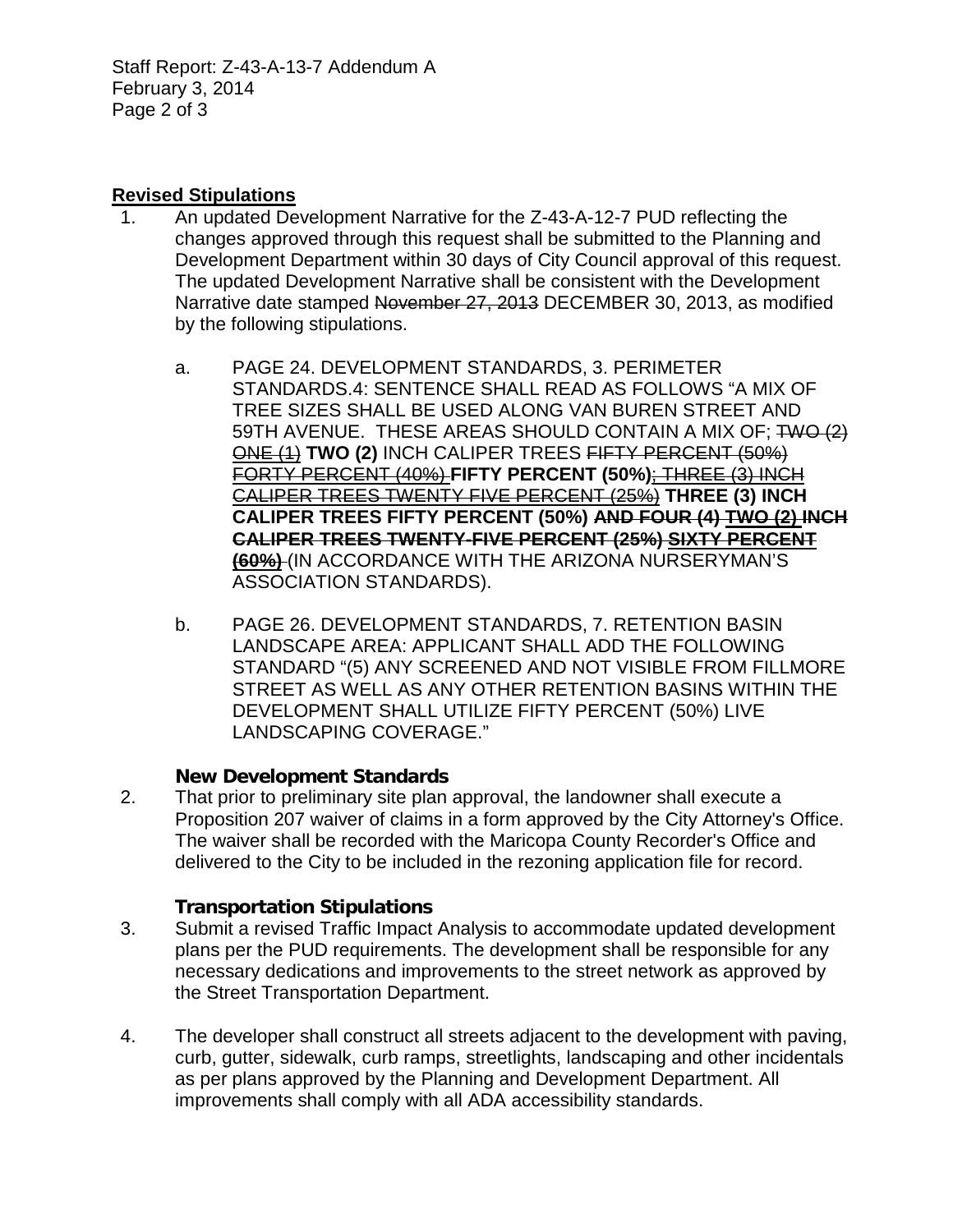Staff Report: Z-43-A-13-7 Addendum A February 3, 2014 Page 2 of 3

## **Revised Stipulations**

- 1. An updated Development Narrative for the Z-43-A-12-7 PUD reflecting the changes approved through this request shall be submitted to the Planning and Development Department within 30 days of City Council approval of this request. The updated Development Narrative shall be consistent with the Development Narrative date stamped November 27, 2013 DECEMBER 30, 2013, as modified by the following stipulations.
	- a. PAGE 24. DEVELOPMENT STANDARDS, 3. PERIMETER STANDARDS.4: SENTENCE SHALL READ AS FOLLOWS "A MIX OF TREE SIZES SHALL BE USED ALONG VAN BUREN STREET AND 59TH AVENUE. THESE AREAS SHOULD CONTAIN A MIX OF: TWO (2) ONE (1) **TWO (2)** INCH CALIPER TREES FIFTY PERCENT (50%) FORTY PERCENT (40%) **FIFTY PERCENT (50%)**; THREE (3) INCH CALIPER TREES TWENTY FIVE PERCENT (25%) **THREE (3) INCH CALIPER TREES FIFTY PERCENT (50%) AND FOUR (4) TWO (2) INCH CALIPER TREES TWENTY-FIVE PERCENT (25%) SIXTY PERCENT (60%)** (IN ACCORDANCE WITH THE ARIZONA NURSERYMAN'S ASSOCIATION STANDARDS).
	- b. PAGE 26. DEVELOPMENT STANDARDS, 7. RETENTION BASIN LANDSCAPE AREA: APPLICANT SHALL ADD THE FOLLOWING STANDARD "(5) ANY SCREENED AND NOT VISIBLE FROM FILLMORE STREET AS WELL AS ANY OTHER RETENTION BASINS WITHIN THE DEVELOPMENT SHALL UTILIZE FIFTY PERCENT (50%) LIVE LANDSCAPING COVERAGE."

## **New Development Standards**

2. That prior to preliminary site plan approval, the landowner shall execute a Proposition 207 waiver of claims in a form approved by the City Attorney's Office. The waiver shall be recorded with the Maricopa County Recorder's Office and delivered to the City to be included in the rezoning application file for record.

## **Transportation Stipulations**

- 3. Submit a revised Traffic Impact Analysis to accommodate updated development plans per the PUD requirements. The development shall be responsible for any necessary dedications and improvements to the street network as approved by the Street Transportation Department.
- 4. The developer shall construct all streets adjacent to the development with paving, curb, gutter, sidewalk, curb ramps, streetlights, landscaping and other incidentals as per plans approved by the Planning and Development Department. All improvements shall comply with all ADA accessibility standards.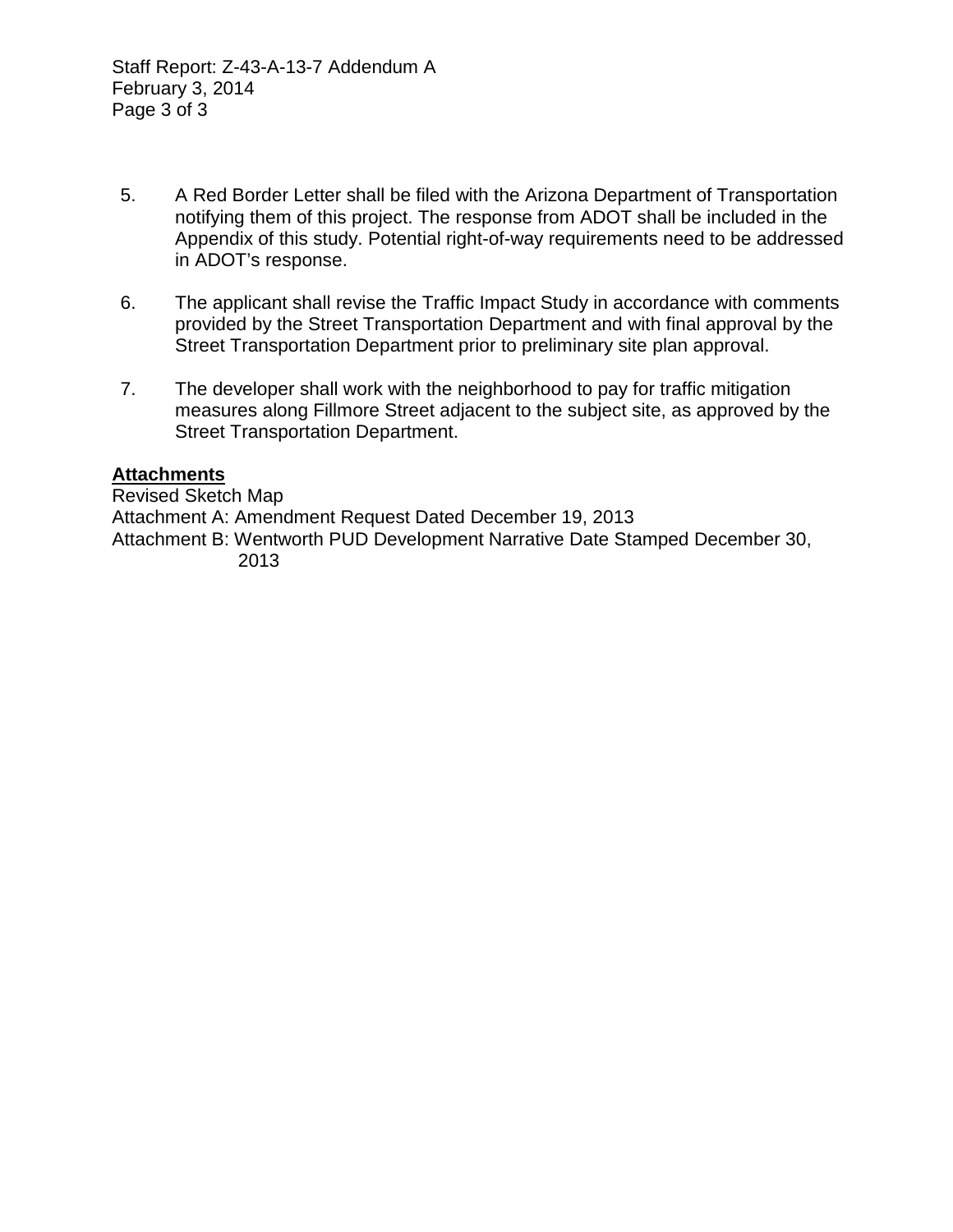Staff Report: Z-43-A-13-7 Addendum A February 3, 2014 Page 3 of 3

- 5. A Red Border Letter shall be filed with the Arizona Department of Transportation notifying them of this project. The response from ADOT shall be included in the Appendix of this study. Potential right-of-way requirements need to be addressed in ADOT's response.
- 6. The applicant shall revise the Traffic Impact Study in accordance with comments provided by the Street Transportation Department and with final approval by the Street Transportation Department prior to preliminary site plan approval.
- 7. The developer shall work with the neighborhood to pay for traffic mitigation measures along Fillmore Street adjacent to the subject site, as approved by the Street Transportation Department.

## **Attachments**

Revised Sketch Map Attachment A: Amendment Request Dated December 19, 2013 Attachment B: Wentworth PUD Development Narrative Date Stamped December 30, 2013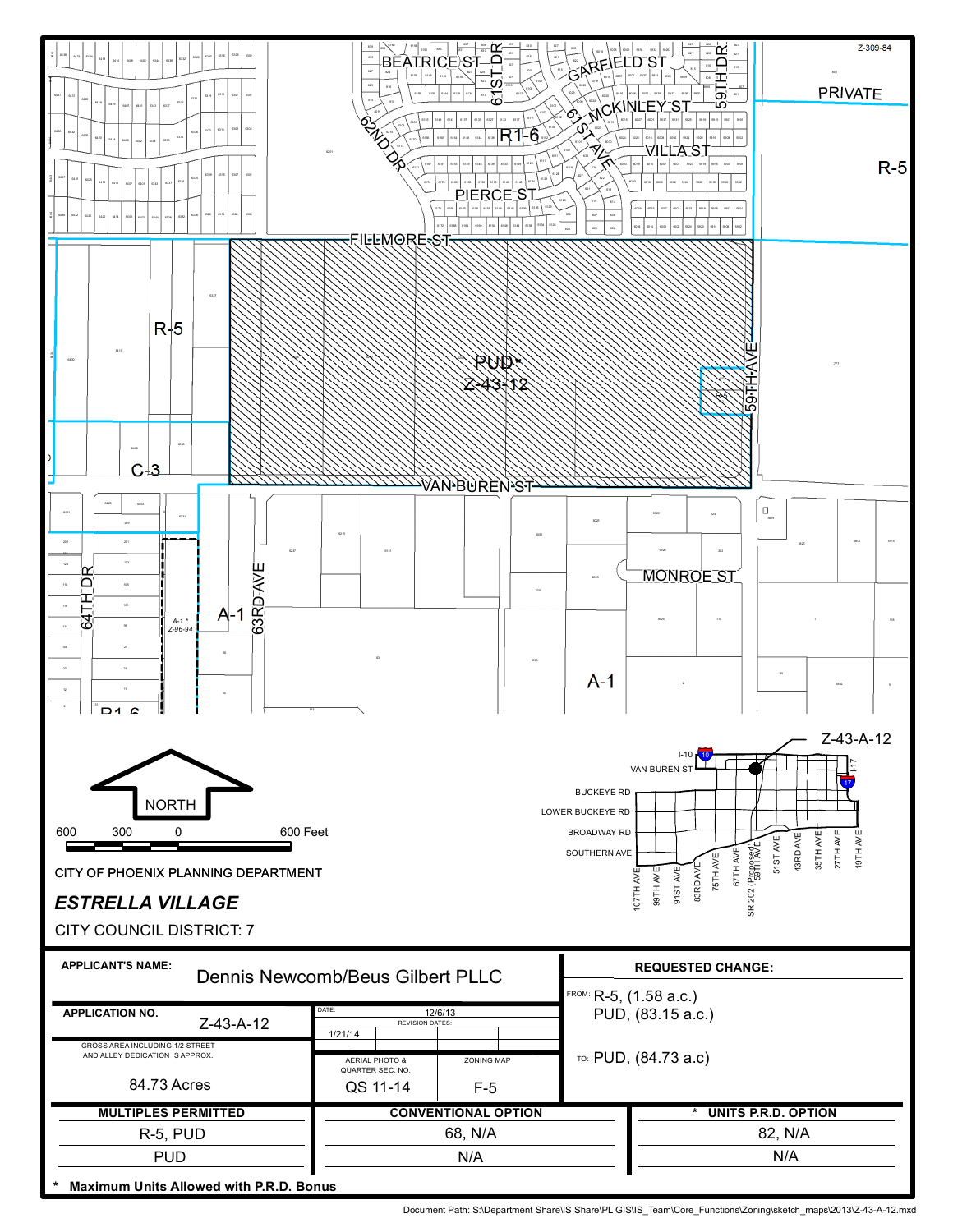

Document Path: S:\Department Share\IS Share\PL GIS\IS\_Team\Core\_Functions\Zoning\sketch\_maps\2013\Z-43-A-12.mxd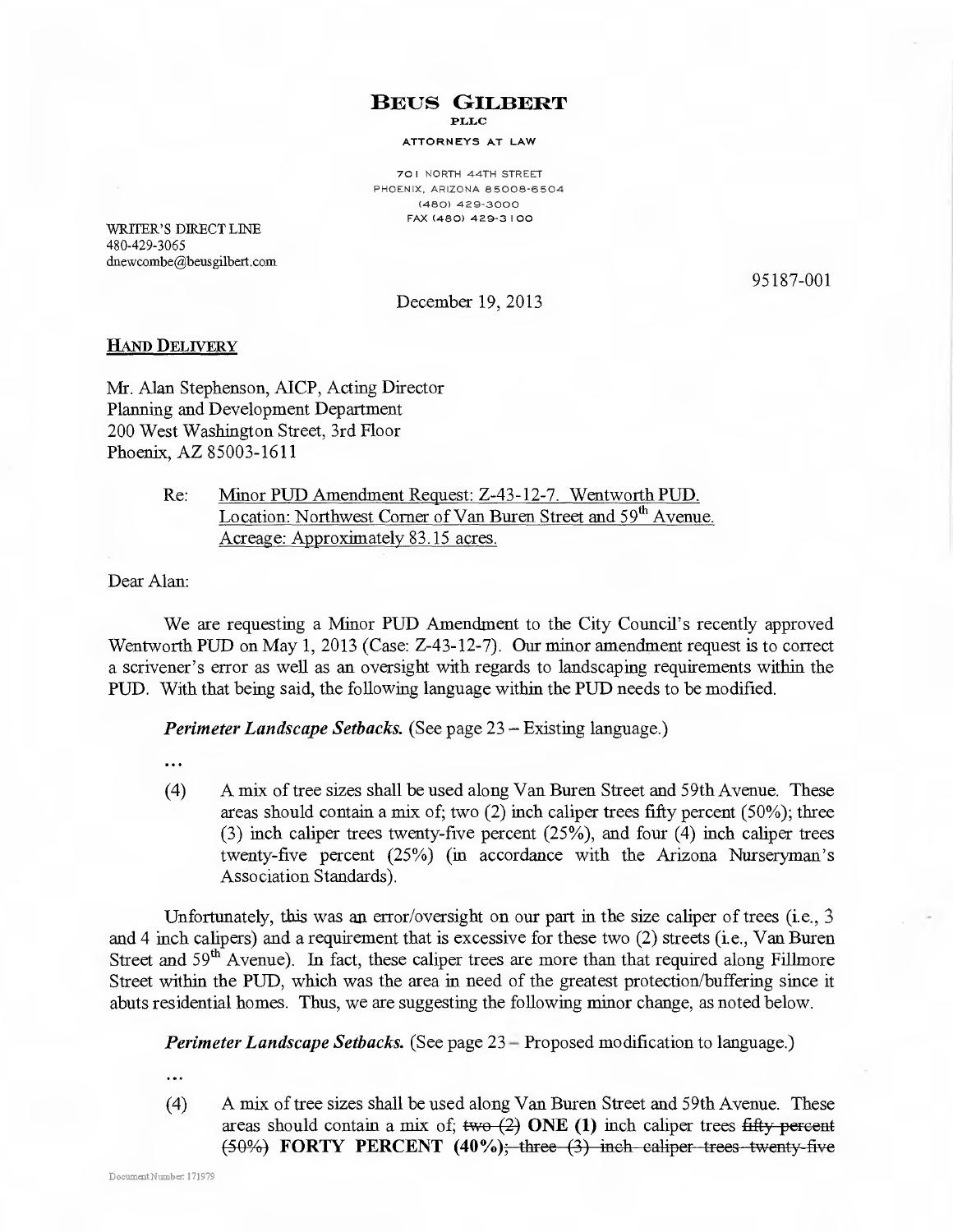**BEUS GILBERT PLLC** 

#### ATTORNEYS AT LAW

701 NORTH 44TH STREET PHOENIX, ARIZONA 85008-6504 (480) 429-3000 FAX (480) 429-3100

WRITER'S DIRECT LINE 480-429-3065 dnewcombe@beusgilbert.com

95187-001

December 19, 2013

### **HAND DELIVERY**

Mr. Alan Stephenson, AICP, Acting Director Planning and Development Department 200 West Washington Street, 3rd Floor Phoenix, AZ 85003-1611

> Minor PUD Amendment Request: Z-43-12-7. Wentworth PUD. Re: Location: Northwest Corner of Van Buren Street and 59<sup>th</sup> Avenue. Acreage: Approximately 83.15 acres.

Dear Alan:

We are requesting a Minor PUD Amendment to the City Council's recently approved Wentworth PUD on May 1, 2013 (Case: Z-43-12-7). Our minor amendment request is to correct a scrivener's error as well as an oversight with regards to landscaping requirements within the PUD. With that being said, the following language within the PUD needs to be modified.

**Perimeter Landscape Setbacks.** (See page 23 – Existing language.)

...

 $(4)$ A mix of tree sizes shall be used along Van Buren Street and 59th Avenue. These areas should contain a mix of; two  $(2)$  inch caliper trees fifty percent  $(50\%)$ ; three  $(3)$  inch caliper trees twenty-five percent  $(25\%)$ , and four  $(4)$  inch caliper trees twenty-five percent (25%) (in accordance with the Arizona Nurseryman's Association Standards).

Unfortunately, this was an error/oversight on our part in the size caliper of trees (i.e., 3) and 4 inch calipers) and a requirement that is excessive for these two (2) streets (i.e., Van Buren Street and  $59<sup>th</sup>$  Avenue). In fact, these caliper trees are more than that required along Fillmore Street within the PUD, which was the area in need of the greatest protection/buffering since it abuts residential homes. Thus, we are suggesting the following minor change, as noted below.

Perimeter Landscape Setbacks. (See page 23 – Proposed modification to language.)

 $\ddotsc$ 

 $(4)$ A mix of tree sizes shall be used along Van Buren Street and 59th Avenue. These areas should contain a mix of;  $two (2)$  ONE (1) inch caliper trees fifty percent  $(50\%)$  FORTY PERCENT  $(40\%)$ ; three  $(3)$  inch caliper trees twenty five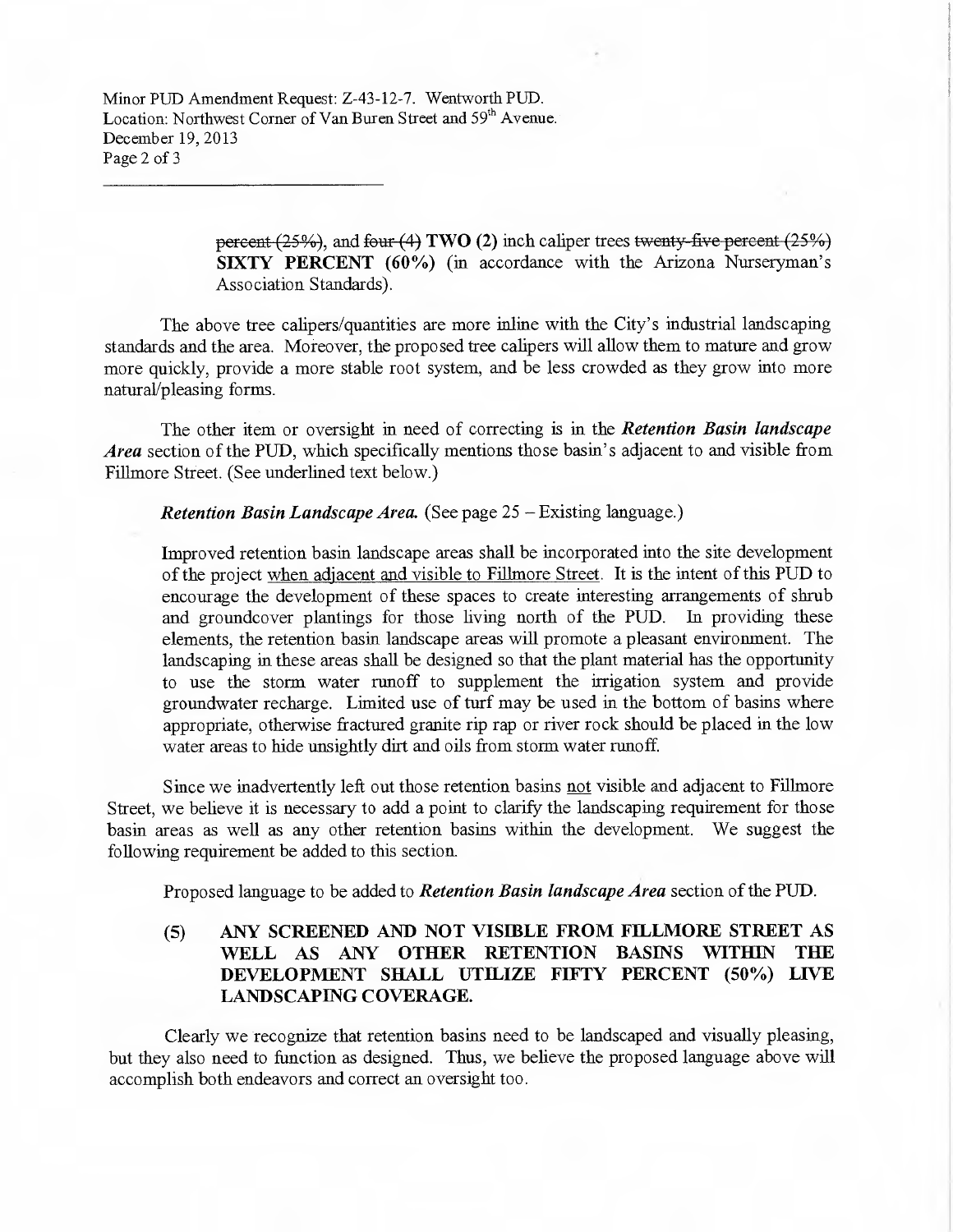Minor PUD Amendment Request: Z-43-12-7. Wentworth PUD. Location: Northwest Corner of Van Buren Street and 59<sup>th</sup> Avenue. December 19, 2013 Page 2 of 3

> percent (25%), and four (4) TWO (2) inch caliper trees twenty-five percent (25%) SIXTY PERCENT (60%) (in accordance with the Arizona Nurseryman's Association Standards).

The above tree calipers/quantities are more inline with the City's industrial landscaping standards and the area. Moreover, the proposed tree calipers will allow them to mature and grow more quickly, provide a more stable root system, and be less crowded as they grow into more natural/pleasing forms.

The other item or oversight in need of correcting is in the Retention Basin landscape *Area* section of the PUD, which specifically mentions those basin's adjacent to and visible from Fillmore Street. (See underlined text below.)

### **Retention Basin Landscape Area.** (See page 25 – Existing language.)

Improved retention basin landscape areas shall be incorporated into the site development of the project when adjacent and visible to Fillmore Street. It is the intent of this PUD to encourage the development of these spaces to create interesting arrangements of shrub and groundcover plantings for those living north of the PUD. In providing these elements, the retention basin landscape areas will promote a pleasant environment. The landscaping in these areas shall be designed so that the plant material has the opportunity to use the storm water runoff to supplement the irrigation system and provide groundwater recharge. Limited use of turf may be used in the bottom of basins where appropriate, otherwise fractured granite rip rap or river rock should be placed in the low water areas to hide unsightly dirt and oils from storm water runoff.

Since we inadvertently left out those retention basins not visible and adjacent to Fillmore Street, we believe it is necessary to add a point to clarify the landscaping requirement for those basin areas as well as any other retention basins within the development. We suggest the following requirement be added to this section.

Proposed language to be added to Retention Basin landscape Area section of the PUD.

### ANY SCREENED AND NOT VISIBLE FROM FILLMORE STREET AS  $(5)$ WELL AS ANY OTHER RETENTION BASINS WITHIN THE DEVELOPMENT SHALL UTILIZE FIFTY PERCENT (50%) LIVE LANDSCAPING COVERAGE.

Clearly we recognize that retention basins need to be landscaped and visually pleasing, but they also need to function as designed. Thus, we believe the proposed language above will accomplish both endeavors and correct an oversight too.